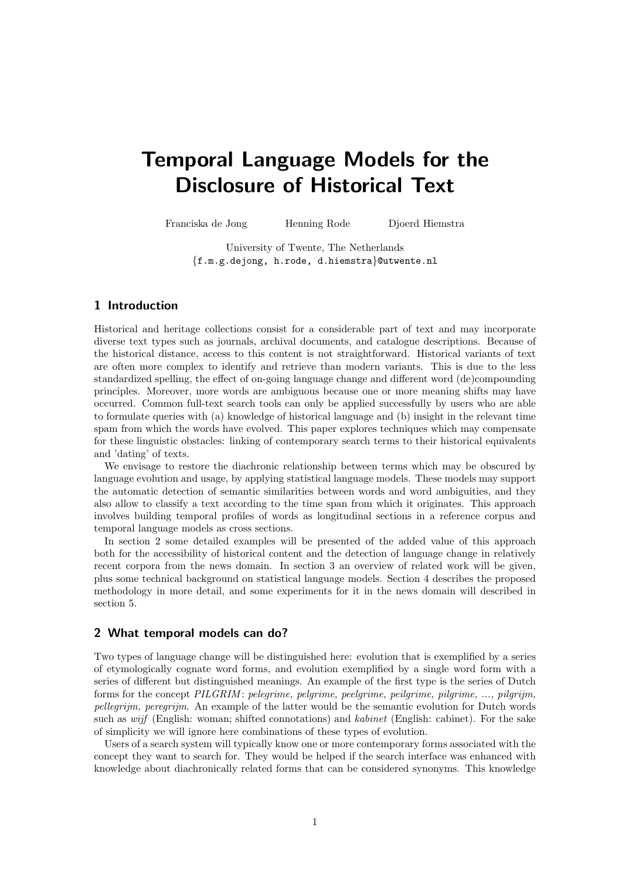# Temporal Language Models for the Disclosure of Historical Text

Franciska de Jong Henning Rode Djoerd Hiemstra

University of Twente, The Netherlands

{f.m.g.dejong, h.rode, d.hiemstra}@utwente.nl

# 1 Introduction

Historical and heritage collections consist for a considerable part of text and may incorporate diverse text types such as journals, archival documents, and catalogue descriptions. Because of the historical distance, access to this content is not straightforward. Historical variants of text are often more complex to identify and retrieve than modern variants. This is due to the less standardized spelling, the effect of on-going language change and different word (de)compounding principles. Moreover, more words are ambiguous because one or more meaning shifts may have occurred. Common full-text search tools can only be applied successfully by users who are able to formulate queries with (a) knowledge of historical language and (b) insight in the relevant time spam from which the words have evolved. This paper explores techniques which may compensate for these linguistic obstacles: linking of contemporary search terms to their historical equivalents and 'dating' of texts.

We envisage to restore the diachronic relationship between terms which may be obscured by language evolution and usage, by applying statistical language models. These models may support the automatic detection of semantic similarities between words and word ambiguities, and they also allow to classify a text according to the time span from which it originates. This approach involves building temporal profiles of words as longitudinal sections in a reference corpus and temporal language models as cross sections.

In section 2 some detailed examples will be presented of the added value of this approach both for the accessibility of historical content and the detection of language change in relatively recent corpora from the news domain. In section 3 an overview of related work will be given, plus some technical background on statistical language models. Section 4 describes the proposed methodology in more detail, and some experiments for it in the news domain will described in section 5.

# 2 What temporal models can do?

Two types of language change will be distinguished here: evolution that is exemplified by a series of etymologically cognate word forms, and evolution exemplified by a single word form with a series of different but distinguished meanings. An example of the first type is the series of Dutch forms for the concept  $PILGRIM$ : pelegrime, pelgrime, peelgrime, peilgrime, pilgrime, ..., pilgrijm, pellegrijm, peregrijm. An example of the latter would be the semantic evolution for Dutch words such as *wijf* (English: woman; shifted connotations) and *kabinet* (English: cabinet). For the sake of simplicity we will ignore here combinations of these types of evolution.

Users of a search system will typically know one or more contemporary forms associated with the concept they want to search for. They would be helped if the search interface was enhanced with knowledge about diachronically related forms that can be considered synonyms. This knowledge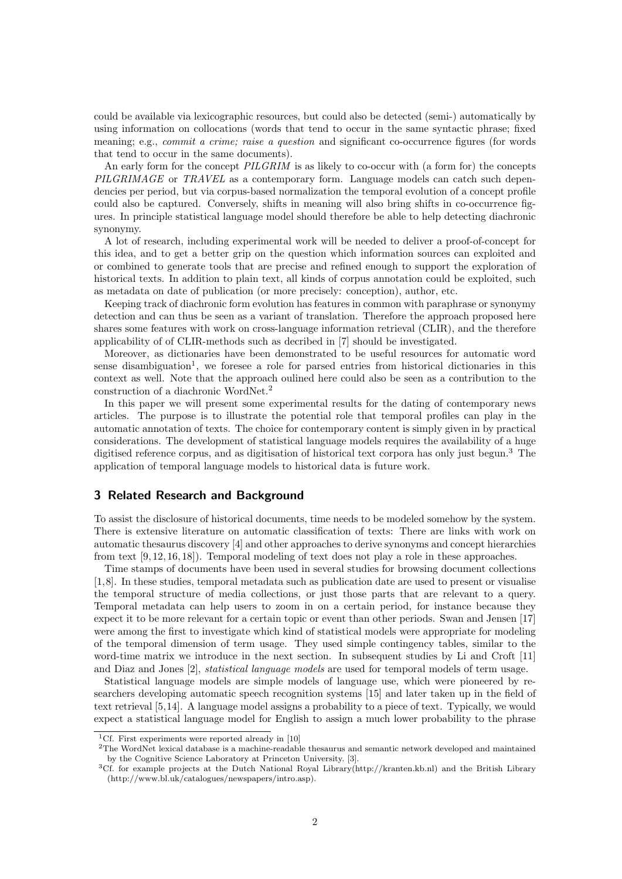could be available via lexicographic resources, but could also be detected (semi-) automatically by using information on collocations (words that tend to occur in the same syntactic phrase; fixed meaning; e.g., *commit a crime; raise a question* and significant co-occurrence figures (for words that tend to occur in the same documents).

An early form for the concept  $\textit{PILGRIM}$  is as likely to co-occur with (a form for) the concepts PILGRIMAGE or TRAVEL as a contemporary form. Language models can catch such dependencies per period, but via corpus-based normalization the temporal evolution of a concept profile could also be captured. Conversely, shifts in meaning will also bring shifts in co-occurrence figures. In principle statistical language model should therefore be able to help detecting diachronic synonymy.

A lot of research, including experimental work will be needed to deliver a proof-of-concept for this idea, and to get a better grip on the question which information sources can exploited and or combined to generate tools that are precise and refined enough to support the exploration of historical texts. In addition to plain text, all kinds of corpus annotation could be exploited, such as metadata on date of publication (or more precisely: conception), author, etc.

Keeping track of diachronic form evolution has features in common with paraphrase or synonymy detection and can thus be seen as a variant of translation. Therefore the approach proposed here shares some features with work on cross-language information retrieval (CLIR), and the therefore applicability of of CLIR-methods such as decribed in [7] should be investigated.

Moreover, as dictionaries have been demonstrated to be useful resources for automatic word sense disambiguation<sup>1</sup>, we foresee a role for parsed entries from historical dictionaries in this context as well. Note that the approach oulined here could also be seen as a contribution to the construction of a diachronic WordNet.<sup>2</sup>

In this paper we will present some experimental results for the dating of contemporary news articles. The purpose is to illustrate the potential role that temporal profiles can play in the automatic annotation of texts. The choice for contemporary content is simply given in by practical considerations. The development of statistical language models requires the availability of a huge digitised reference corpus, and as digitisation of historical text corpora has only just begun.<sup>3</sup> The application of temporal language models to historical data is future work.

## 3 Related Research and Background

To assist the disclosure of historical documents, time needs to be modeled somehow by the system. There is extensive literature on automatic classification of texts: There are links with work on automatic thesaurus discovery [4] and other approaches to derive synonyms and concept hierarchies from text [9, 12, 16, 18]). Temporal modeling of text does not play a role in these approaches.

Time stamps of documents have been used in several studies for browsing document collections [1,8]. In these studies, temporal metadata such as publication date are used to present or visualise the temporal structure of media collections, or just those parts that are relevant to a query. Temporal metadata can help users to zoom in on a certain period, for instance because they expect it to be more relevant for a certain topic or event than other periods. Swan and Jensen [17] were among the first to investigate which kind of statistical models were appropriate for modeling of the temporal dimension of term usage. They used simple contingency tables, similar to the word-time matrix we introduce in the next section. In subsequent studies by Li and Croft [11] and Diaz and Jones [2], statistical language models are used for temporal models of term usage.

Statistical language models are simple models of language use, which were pioneered by researchers developing automatic speech recognition systems [15] and later taken up in the field of text retrieval [5,14]. A language model assigns a probability to a piece of text. Typically, we would expect a statistical language model for English to assign a much lower probability to the phrase

<sup>2</sup>The WordNet lexical database is a machine-readable thesaurus and semantic network developed and maintained by the Cognitive Science Laboratory at Princeton University. [3].

<sup>&</sup>lt;sup>1</sup>Cf. First experiments were reported already in [10]

<sup>3</sup>Cf. for example projects at the Dutch National Royal Library(http://kranten.kb.nl) and the British Library (http://www.bl.uk/catalogues/newspapers/intro.asp).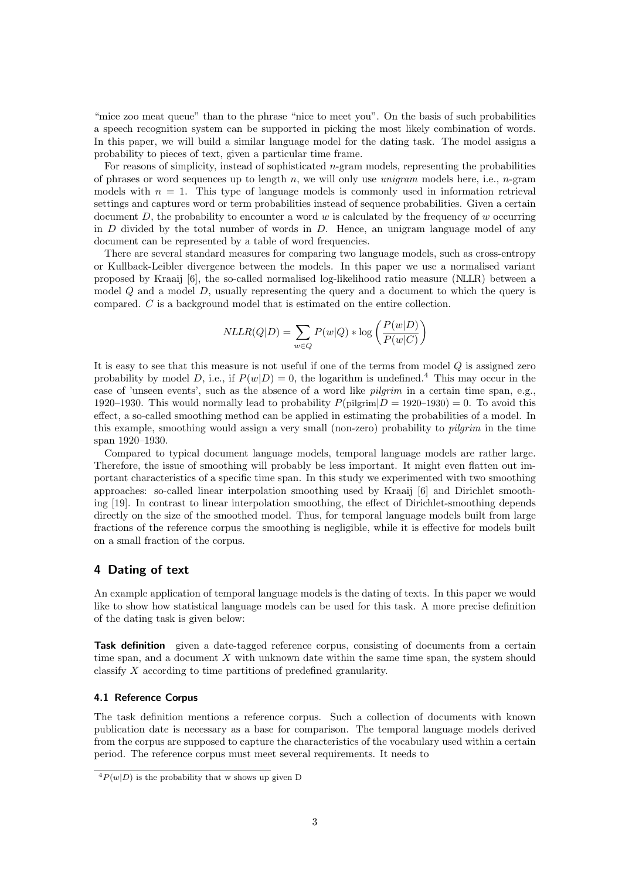"mice zoo meat queue" than to the phrase "nice to meet you". On the basis of such probabilities a speech recognition system can be supported in picking the most likely combination of words. In this paper, we will build a similar language model for the dating task. The model assigns a probability to pieces of text, given a particular time frame.

For reasons of simplicity, instead of sophisticated  $n$ -gram models, representing the probabilities of phrases or word sequences up to length n, we will only use *unigram* models here, i.e., n-gram models with  $n = 1$ . This type of language models is commonly used in information retrieval settings and captures word or term probabilities instead of sequence probabilities. Given a certain document  $D$ , the probability to encounter a word w is calculated by the frequency of w occurring in  $D$  divided by the total number of words in  $D$ . Hence, an unigram language model of any document can be represented by a table of word frequencies.

There are several standard measures for comparing two language models, such as cross-entropy or Kullback-Leibler divergence between the models. In this paper we use a normalised variant proposed by Kraaij [6], the so-called normalised log-likelihood ratio measure (NLLR) between a model  $Q$  and a model  $D$ , usually representing the query and a document to which the query is compared. C is a background model that is estimated on the entire collection.

$$
NLLR(Q|D) = \sum_{w \in Q} P(w|Q) * \log \left( \frac{P(w|D)}{P(w|C)} \right)
$$

It is easy to see that this measure is not useful if one of the terms from model Q is assigned zero probability by model D, i.e., if  $P(w|D) = 0$ , the logarithm is undefined.<sup>4</sup> This may occur in the case of 'unseen events', such as the absence of a word like pilgrim in a certain time span, e.g., 1920–1930. This would normally lead to probability  $P(\text{pilgrim}|D = 1920-1930) = 0$ . To avoid this effect, a so-called smoothing method can be applied in estimating the probabilities of a model. In this example, smoothing would assign a very small (non-zero) probability to pilgrim in the time span 1920–1930.

Compared to typical document language models, temporal language models are rather large. Therefore, the issue of smoothing will probably be less important. It might even flatten out important characteristics of a specific time span. In this study we experimented with two smoothing approaches: so-called linear interpolation smoothing used by Kraaij [6] and Dirichlet smoothing [19]. In contrast to linear interpolation smoothing, the effect of Dirichlet-smoothing depends directly on the size of the smoothed model. Thus, for temporal language models built from large fractions of the reference corpus the smoothing is negligible, while it is effective for models built on a small fraction of the corpus.

# 4 Dating of text

An example application of temporal language models is the dating of texts. In this paper we would like to show how statistical language models can be used for this task. A more precise definition of the dating task is given below:

Task definition given a date-tagged reference corpus, consisting of documents from a certain time span, and a document X with unknown date within the same time span, the system should classify X according to time partitions of predefined granularity.

## 4.1 Reference Corpus

The task definition mentions a reference corpus. Such a collection of documents with known publication date is necessary as a base for comparison. The temporal language models derived from the corpus are supposed to capture the characteristics of the vocabulary used within a certain period. The reference corpus must meet several requirements. It needs to

 $\frac{4P(w|D)}{2}$  is the probability that w shows up given D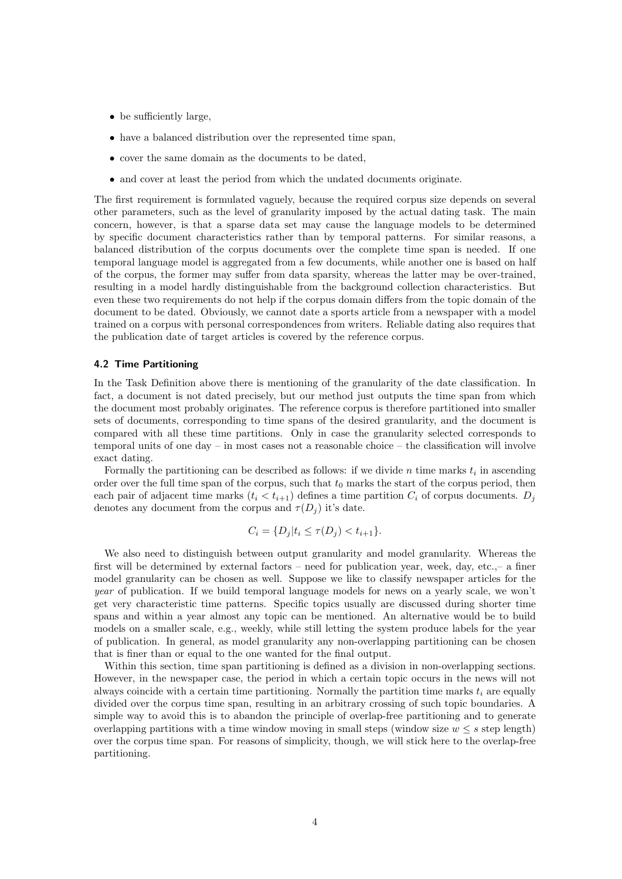- be sufficiently large,
- have a balanced distribution over the represented time span,
- cover the same domain as the documents to be dated,
- and cover at least the period from which the undated documents originate.

The first requirement is formulated vaguely, because the required corpus size depends on several other parameters, such as the level of granularity imposed by the actual dating task. The main concern, however, is that a sparse data set may cause the language models to be determined by specific document characteristics rather than by temporal patterns. For similar reasons, a balanced distribution of the corpus documents over the complete time span is needed. If one temporal language model is aggregated from a few documents, while another one is based on half of the corpus, the former may suffer from data sparsity, whereas the latter may be over-trained, resulting in a model hardly distinguishable from the background collection characteristics. But even these two requirements do not help if the corpus domain differs from the topic domain of the document to be dated. Obviously, we cannot date a sports article from a newspaper with a model trained on a corpus with personal correspondences from writers. Reliable dating also requires that the publication date of target articles is covered by the reference corpus.

## 4.2 Time Partitioning

In the Task Definition above there is mentioning of the granularity of the date classification. In fact, a document is not dated precisely, but our method just outputs the time span from which the document most probably originates. The reference corpus is therefore partitioned into smaller sets of documents, corresponding to time spans of the desired granularity, and the document is compared with all these time partitions. Only in case the granularity selected corresponds to temporal units of one day – in most cases not a reasonable choice – the classification will involve exact dating.

Formally the partitioning can be described as follows: if we divide  $n$  time marks  $t_i$  in ascending order over the full time span of the corpus, such that  $t_0$  marks the start of the corpus period, then each pair of adjacent time marks  $(t_i < t_{i+1})$  defines a time partition  $C_i$  of corpus documents.  $D_i$ denotes any document from the corpus and  $\tau(D_i)$  it's date.

$$
C_i = \{ D_j | t_i \le \tau(D_j) < t_{i+1} \}.
$$

We also need to distinguish between output granularity and model granularity. Whereas the first will be determined by external factors – need for publication year, week, day, etc.,– a finer model granularity can be chosen as well. Suppose we like to classify newspaper articles for the year of publication. If we build temporal language models for news on a yearly scale, we won't get very characteristic time patterns. Specific topics usually are discussed during shorter time spans and within a year almost any topic can be mentioned. An alternative would be to build models on a smaller scale, e.g., weekly, while still letting the system produce labels for the year of publication. In general, as model granularity any non-overlapping partitioning can be chosen that is finer than or equal to the one wanted for the final output.

Within this section, time span partitioning is defined as a division in non-overlapping sections. However, in the newspaper case, the period in which a certain topic occurs in the news will not always coincide with a certain time partitioning. Normally the partition time marks  $t_i$  are equally divided over the corpus time span, resulting in an arbitrary crossing of such topic boundaries. A simple way to avoid this is to abandon the principle of overlap-free partitioning and to generate overlapping partitions with a time window moving in small steps (window size  $w \leq s$  step length) over the corpus time span. For reasons of simplicity, though, we will stick here to the overlap-free partitioning.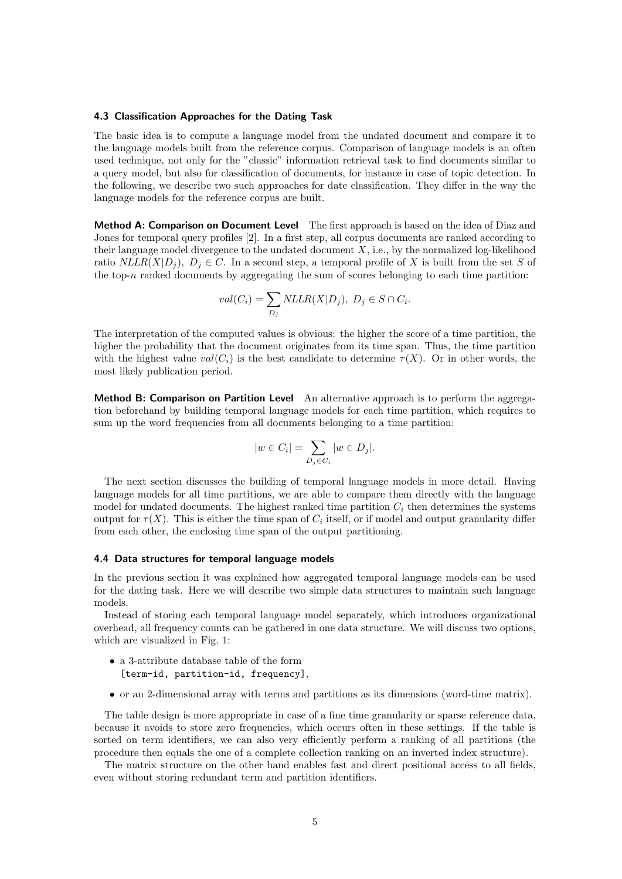#### 4.3 Classification Approaches for the Dating Task

The basic idea is to compute a language model from the undated document and compare it to the language models built from the reference corpus. Comparison of language models is an often used technique, not only for the "classic" information retrieval task to find documents similar to a query model, but also for classification of documents, for instance in case of topic detection. In the following, we describe two such approaches for date classification. They differ in the way the language models for the reference corpus are built.

Method A: Comparison on Document Level The first approach is based on the idea of Diaz and Jones for temporal query profiles [2]. In a first step, all corpus documents are ranked according to their language model divergence to the undated document  $X$ , i.e., by the normalized log-likelihood ratio  $NLLR(X|D_i)$ ,  $D_i \in C$ . In a second step, a temporal profile of X is built from the set S of the top-n ranked documents by aggregating the sum of scores belonging to each time partition:

$$
val(C_i) = \sum_{D_j} NLLR(X|D_j), D_j \in S \cap C_i.
$$

The interpretation of the computed values is obvious: the higher the score of a time partition, the higher the probability that the document originates from its time span. Thus, the time partition with the highest value  $val(C_i)$  is the best candidate to determine  $\tau(X)$ . Or in other words, the most likely publication period.

Method B: Comparison on Partition Level An alternative approach is to perform the aggregation beforehand by building temporal language models for each time partition, which requires to sum up the word frequencies from all documents belonging to a time partition:

$$
|w \in C_i| = \sum_{D_j \in C_i} |w \in D_j|.
$$

The next section discusses the building of temporal language models in more detail. Having language models for all time partitions, we are able to compare them directly with the language model for undated documents. The highest ranked time partition  $C_i$  then determines the systems output for  $\tau(X)$ . This is either the time span of  $C_i$  itself, or if model and output granularity differ from each other, the enclosing time span of the output partitioning.

#### 4.4 Data structures for temporal language models

In the previous section it was explained how aggregated temporal language models can be used for the dating task. Here we will describe two simple data structures to maintain such language models.

Instead of storing each temporal language model separately, which introduces organizational overhead, all frequency counts can be gathered in one data structure. We will discuss two options, which are visualized in Fig. 1:

- a 3-attribute database table of the form [term-id, partition-id, frequency],
- or an 2-dimensional array with terms and partitions as its dimensions (word-time matrix).

The table design is more appropriate in case of a fine time granularity or sparse reference data, because it avoids to store zero frequencies, which occurs often in these settings. If the table is sorted on term identifiers, we can also very efficiently perform a ranking of all partitions (the procedure then equals the one of a complete collection ranking on an inverted index structure).

The matrix structure on the other hand enables fast and direct positional access to all fields, even without storing redundant term and partition identifiers.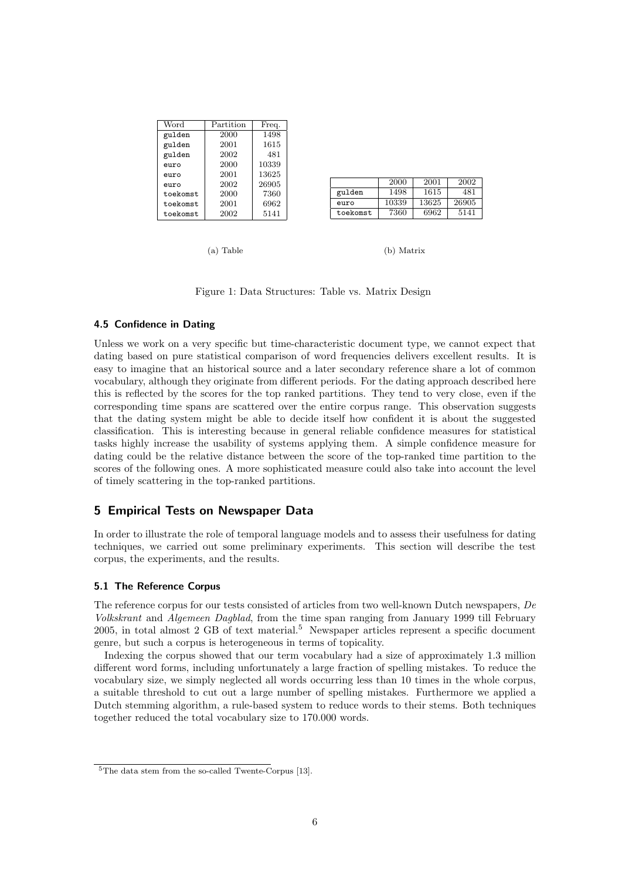| Word     | Partition | Freq. |
|----------|-----------|-------|
| gulden   | 2000      | 1498  |
| gulden   | 2001      | 1615  |
| gulden   | 2002      | 481   |
| euro     | 2000      | 10339 |
| euro     | 2001      | 13625 |
| euro     | 2002      | 26905 |
| toekomst | 2000      | 7360  |
| toekomst | 2001      | 6962  |
| toekomst | 2002      | 5141  |

|          | 2000  | 2001  | 2002  |
|----------|-------|-------|-------|
| gulden   | 1498  | 1615  | 481   |
| euro     | 10339 | 13625 | 26905 |
| toekomst | 7360  | 6962  | 5141  |

(a) Table

(b) Matrix

Figure 1: Data Structures: Table vs. Matrix Design

# 4.5 Confidence in Dating

Unless we work on a very specific but time-characteristic document type, we cannot expect that dating based on pure statistical comparison of word frequencies delivers excellent results. It is easy to imagine that an historical source and a later secondary reference share a lot of common vocabulary, although they originate from different periods. For the dating approach described here this is reflected by the scores for the top ranked partitions. They tend to very close, even if the corresponding time spans are scattered over the entire corpus range. This observation suggests that the dating system might be able to decide itself how confident it is about the suggested classification. This is interesting because in general reliable confidence measures for statistical tasks highly increase the usability of systems applying them. A simple confidence measure for dating could be the relative distance between the score of the top-ranked time partition to the scores of the following ones. A more sophisticated measure could also take into account the level of timely scattering in the top-ranked partitions.

# 5 Empirical Tests on Newspaper Data

In order to illustrate the role of temporal language models and to assess their usefulness for dating techniques, we carried out some preliminary experiments. This section will describe the test corpus, the experiments, and the results.

## 5.1 The Reference Corpus

The reference corpus for our tests consisted of articles from two well-known Dutch newspapers, De Volkskrant and Algemeen Dagblad, from the time span ranging from January 1999 till February 2005, in total almost 2 GB of text material.<sup>5</sup> Newspaper articles represent a specific document genre, but such a corpus is heterogeneous in terms of topicality.

Indexing the corpus showed that our term vocabulary had a size of approximately 1.3 million different word forms, including unfortunately a large fraction of spelling mistakes. To reduce the vocabulary size, we simply neglected all words occurring less than 10 times in the whole corpus, a suitable threshold to cut out a large number of spelling mistakes. Furthermore we applied a Dutch stemming algorithm, a rule-based system to reduce words to their stems. Both techniques together reduced the total vocabulary size to 170.000 words.

<sup>5</sup>The data stem from the so-called Twente-Corpus [13].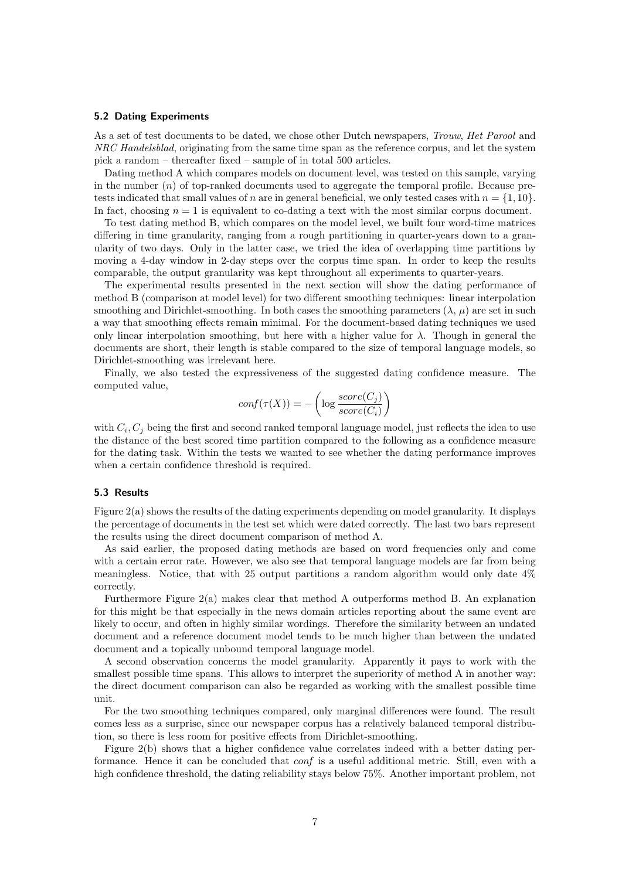#### 5.2 Dating Experiments

As a set of test documents to be dated, we chose other Dutch newspapers, Trouw, Het Parool and NRC Handelsblad, originating from the same time span as the reference corpus, and let the system pick a random – thereafter fixed – sample of in total 500 articles.

Dating method A which compares models on document level, was tested on this sample, varying in the number  $(n)$  of top-ranked documents used to aggregate the temporal profile. Because pretests indicated that small values of n are in general beneficial, we only tested cases with  $n = \{1, 10\}$ . In fact, choosing  $n = 1$  is equivalent to co-dating a text with the most similar corpus document.

To test dating method B, which compares on the model level, we built four word-time matrices differing in time granularity, ranging from a rough partitioning in quarter-years down to a granularity of two days. Only in the latter case, we tried the idea of overlapping time partitions by moving a 4-day window in 2-day steps over the corpus time span. In order to keep the results comparable, the output granularity was kept throughout all experiments to quarter-years.

The experimental results presented in the next section will show the dating performance of method B (comparison at model level) for two different smoothing techniques: linear interpolation smoothing and Dirichlet-smoothing. In both cases the smoothing parameters  $(\lambda, \mu)$  are set in such a way that smoothing effects remain minimal. For the document-based dating techniques we used only linear interpolation smoothing, but here with a higher value for  $\lambda$ . Though in general the documents are short, their length is stable compared to the size of temporal language models, so Dirichlet-smoothing was irrelevant here.

Finally, we also tested the expressiveness of the suggested dating confidence measure. The computed value,

$$
conf(\tau(X)) = -\left(\log \frac{score(C_j)}{score(C_i)}\right)
$$

with  $C_i$ ,  $C_j$  being the first and second ranked temporal language model, just reflects the idea to use the distance of the best scored time partition compared to the following as a confidence measure for the dating task. Within the tests we wanted to see whether the dating performance improves when a certain confidence threshold is required.

## 5.3 Results

Figure 2(a) shows the results of the dating experiments depending on model granularity. It displays the percentage of documents in the test set which were dated correctly. The last two bars represent the results using the direct document comparison of method A.

As said earlier, the proposed dating methods are based on word frequencies only and come with a certain error rate. However, we also see that temporal language models are far from being meaningless. Notice, that with 25 output partitions a random algorithm would only date 4% correctly.

Furthermore Figure 2(a) makes clear that method A outperforms method B. An explanation for this might be that especially in the news domain articles reporting about the same event are likely to occur, and often in highly similar wordings. Therefore the similarity between an undated document and a reference document model tends to be much higher than between the undated document and a topically unbound temporal language model.

A second observation concerns the model granularity. Apparently it pays to work with the smallest possible time spans. This allows to interpret the superiority of method A in another way: the direct document comparison can also be regarded as working with the smallest possible time unit.

For the two smoothing techniques compared, only marginal differences were found. The result comes less as a surprise, since our newspaper corpus has a relatively balanced temporal distribution, so there is less room for positive effects from Dirichlet-smoothing.

Figure 2(b) shows that a higher confidence value correlates indeed with a better dating performance. Hence it can be concluded that conf is a useful additional metric. Still, even with a high confidence threshold, the dating reliability stays below 75%. Another important problem, not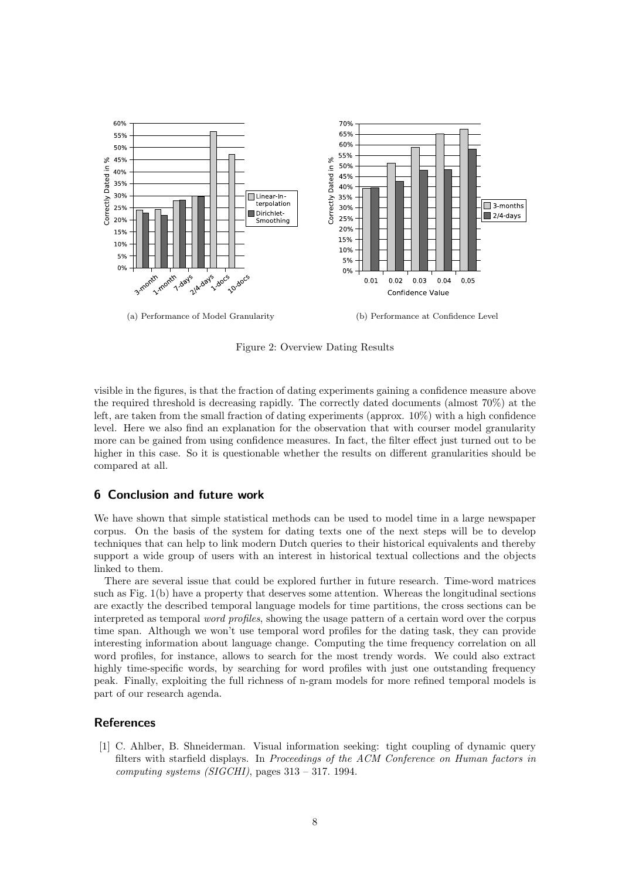

Figure 2: Overview Dating Results

visible in the figures, is that the fraction of dating experiments gaining a confidence measure above the required threshold is decreasing rapidly. The correctly dated documents (almost 70%) at the left, are taken from the small fraction of dating experiments (approx. 10%) with a high confidence level. Here we also find an explanation for the observation that with courser model granularity more can be gained from using confidence measures. In fact, the filter effect just turned out to be higher in this case. So it is questionable whether the results on different granularities should be compared at all.

# 6 Conclusion and future work

We have shown that simple statistical methods can be used to model time in a large newspaper corpus. On the basis of the system for dating texts one of the next steps will be to develop techniques that can help to link modern Dutch queries to their historical equivalents and thereby support a wide group of users with an interest in historical textual collections and the objects linked to them.

There are several issue that could be explored further in future research. Time-word matrices such as Fig. 1(b) have a property that deserves some attention. Whereas the longitudinal sections are exactly the described temporal language models for time partitions, the cross sections can be interpreted as temporal word profiles, showing the usage pattern of a certain word over the corpus time span. Although we won't use temporal word profiles for the dating task, they can provide interesting information about language change. Computing the time frequency correlation on all word profiles, for instance, allows to search for the most trendy words. We could also extract highly time-specific words, by searching for word profiles with just one outstanding frequency peak. Finally, exploiting the full richness of n-gram models for more refined temporal models is part of our research agenda.

# **References**

[1] C. Ahlber, B. Shneiderman. Visual information seeking: tight coupling of dynamic query filters with starfield displays. In Proceedings of the ACM Conference on Human factors in computing systems (SIGCHI), pages  $313 - 317$ . 1994.